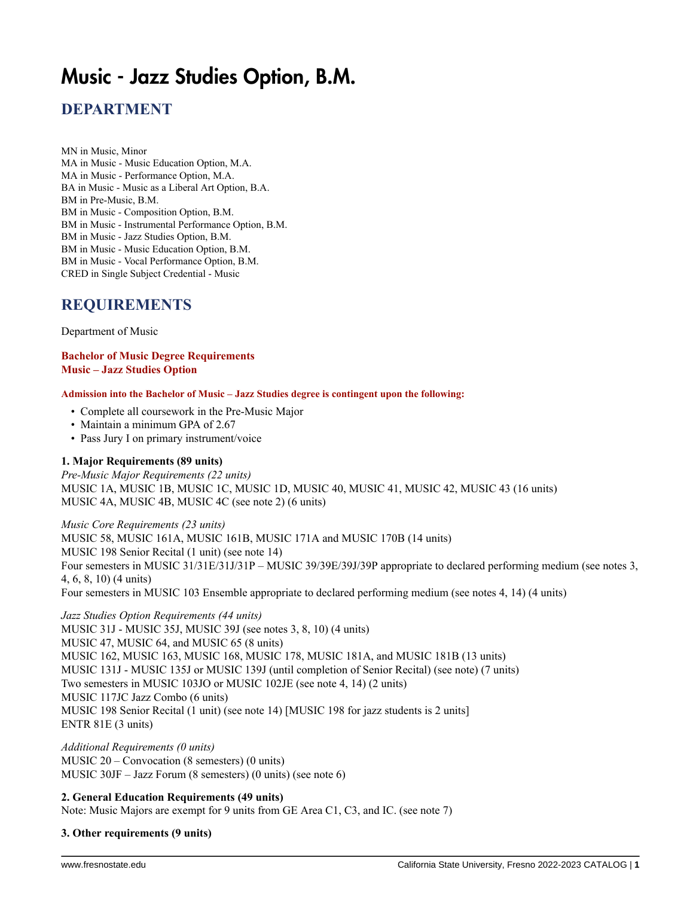# Music - Jazz Studies Option, B.M.

# **DEPARTMENT**

MN in Music, Minor MA in Music - Music Education Option, M.A. MA in Music - Performance Option, M.A. BA in Music - Music as a Liberal Art Option, B.A. BM in Pre-Music, B.M. BM in Music - Composition Option, B.M. BM in Music - Instrumental Performance Option, B.M. BM in Music - Jazz Studies Option, B.M. BM in Music - Music Education Option, B.M. BM in Music - Vocal Performance Option, B.M. CRED in Single Subject Credential - Music

## **REQUIREMENTS**

Department of Music

**Bachelor of Music Degree Requirements Music – Jazz Studies Option**

**Admission into the Bachelor of Music – Jazz Studies degree is contingent upon the following:**

- Complete all coursework in the Pre-Music Major
- Maintain a minimum GPA of 2.67
- Pass Jury I on primary instrument/voice

### **1. Major Requirements (89 units)**

*Pre-Music Major Requirements (22 units)* MUSIC 1A, MUSIC 1B, MUSIC 1C, MUSIC 1D, MUSIC 40, MUSIC 41, MUSIC 42, MUSIC 43 (16 units) MUSIC 4A, MUSIC 4B, MUSIC 4C (see note 2) (6 units)

*Music Core Requirements (23 units)* MUSIC 58, MUSIC 161A, MUSIC 161B, MUSIC 171A and MUSIC 170B (14 units) MUSIC 198 Senior Recital (1 unit) (see note 14) Four semesters in MUSIC 31/31E/31J/31P – MUSIC 39/39E/39J/39P appropriate to declared performing medium (see notes 3, 4, 6, 8, 10) (4 units) Four semesters in MUSIC 103 Ensemble appropriate to declared performing medium (see notes 4, 14) (4 units)

*Jazz Studies Option Requirements (44 units)* MUSIC 31J - MUSIC 35J, MUSIC 39J (see notes 3, 8, 10) (4 units) MUSIC 47, MUSIC 64, and MUSIC 65 (8 units) MUSIC 162, MUSIC 163, MUSIC 168, MUSIC 178, MUSIC 181A, and MUSIC 181B (13 units) MUSIC 131J - MUSIC 135J or MUSIC 139J (until completion of Senior Recital) (see note) (7 units) Two semesters in MUSIC 103JO or MUSIC 102JE (see note 4, 14) (2 units) MUSIC 117JC Jazz Combo (6 units) MUSIC 198 Senior Recital (1 unit) (see note 14) [MUSIC 198 for jazz students is 2 units] ENTR 81E (3 units)

*Additional Requirements (0 units)* MUSIC 20 – Convocation (8 semesters) (0 units) MUSIC 30JF – Jazz Forum (8 semesters) (0 units) (see note 6)

#### **2. General Education Requirements (49 units)**

Note: Music Majors are exempt for 9 units from GE Area C1, C3, and IC. (see note 7)

#### **3. Other requirements (9 units)**